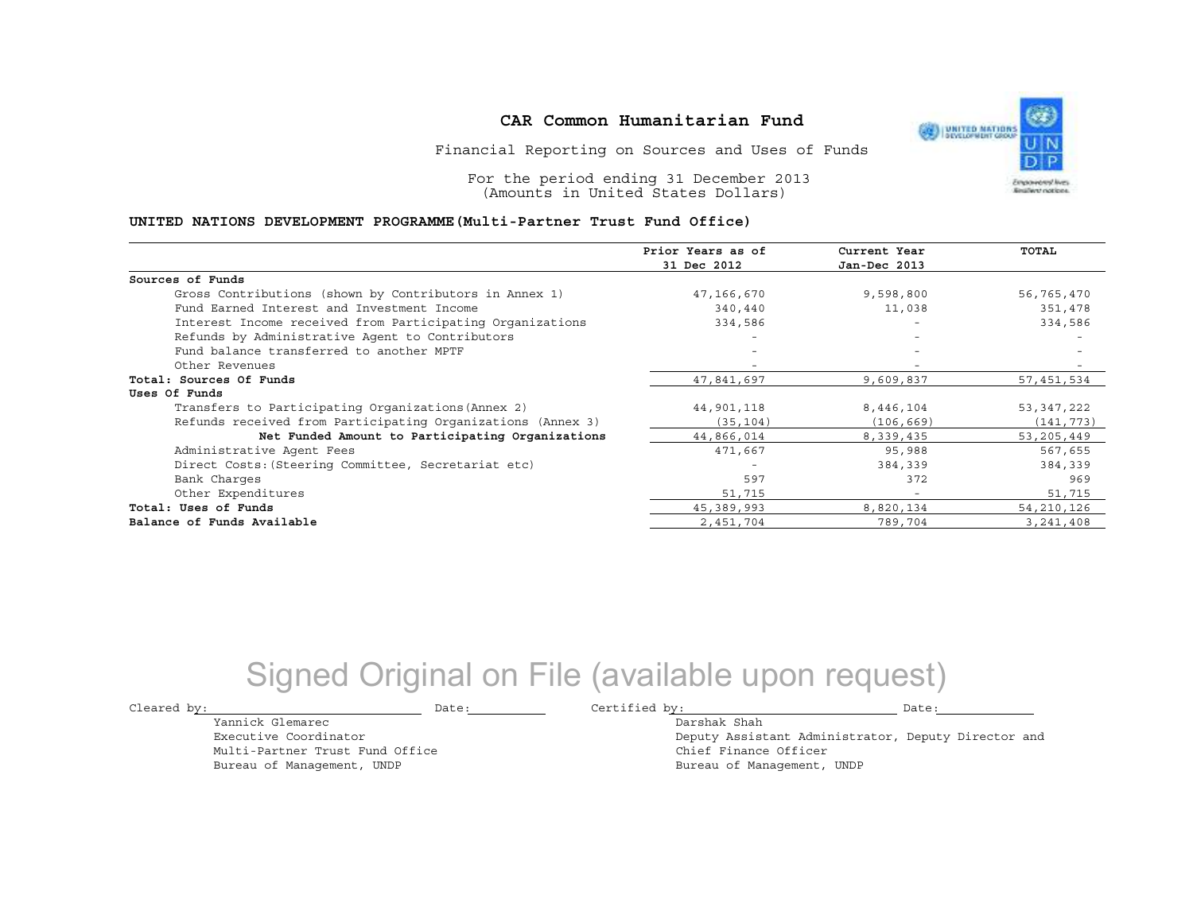Financial Reporting on Sources and Uses of Funds

For the period ending 31 December 2013(Amounts in United States Dollars)

#### **UNITED NATIONS DEVELOPMENT PROGRAMME(Multi-Partner Trust Fund Office)**

|                                                             | Prior Years as of        | Current Year             | TOTAL        |
|-------------------------------------------------------------|--------------------------|--------------------------|--------------|
|                                                             | 31 Dec 2012              | Jan-Dec 2013             |              |
| Sources of Funds                                            |                          |                          |              |
| Gross Contributions (shown by Contributors in Annex 1)      | 47,166,670               | 9,598,800                | 56,765,470   |
| Fund Earned Interest and Investment Income                  | 340,440                  | 11,038                   | 351,478      |
| Interest Income received from Participating Organizations   | 334,586                  | $\overline{\phantom{0}}$ | 334,586      |
| Refunds by Administrative Agent to Contributors             | $\overline{\phantom{0}}$ | $\overline{\phantom{0}}$ |              |
| Fund balance transferred to another MPTF                    |                          |                          |              |
| Other Revenues                                              |                          |                          |              |
| Total: Sources Of Funds                                     | 47,841,697               | 9,609,837                | 57,451,534   |
| Uses Of Funds                                               |                          |                          |              |
| Transfers to Participating Organizations (Annex 2)          | 44,901,118               | 8,446,104                | 53,347,222   |
| Refunds received from Participating Organizations (Annex 3) | (35, 104)                | (106, 669)               | (141, 773)   |
| Net Funded Amount to Participating Organizations            | 44,866,014               | 8,339,435                | 53, 205, 449 |
| Administrative Agent Fees                                   | 471,667                  | 95,988                   | 567,655      |
| Direct Costs: (Steering Committee, Secretariat etc)         |                          | 384,339                  | 384,339      |
| Bank Charges                                                | 597                      | 372                      | 969          |
| Other Expenditures                                          | 51,715                   | $\overline{\phantom{a}}$ | 51,715       |
| Total: Uses of Funds                                        | 45,389,993               | 8,820,134                | 54, 210, 126 |
| Balance of Funds Available                                  | 2,451,704                | 789,704                  | 3, 241, 408  |

# Signed Original on File (available upon request)

Cleared by:

Yannick Glemarec Executive Coordinator Multi-Partner Trust Fund OfficeBureau of Management, UNDP

Date: Certified by: Date:

Darshak Shah

 Deputy Assistant Administrator, Deputy Director andChief Finance OfficerBureau of Management, UNDP

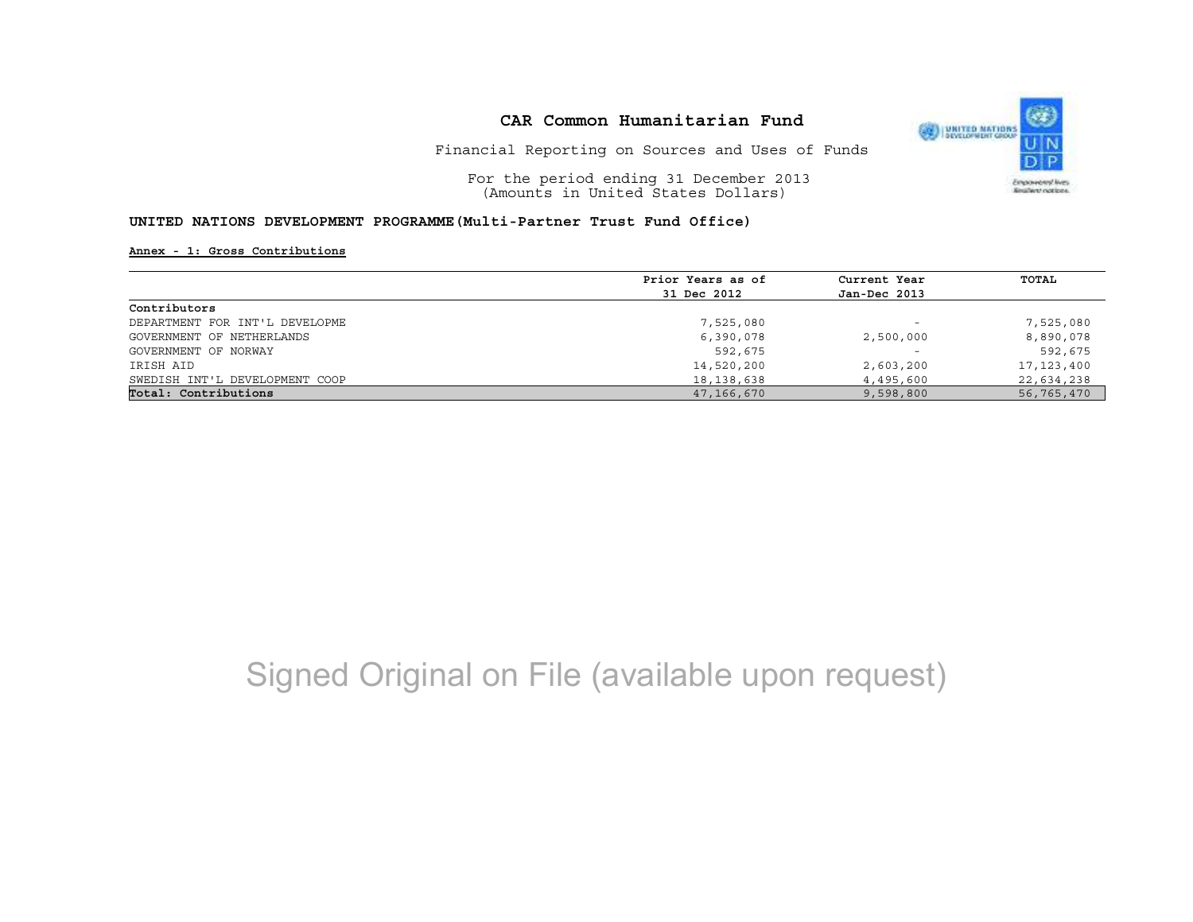

Financial Reporting on Sources and Uses of Funds

For the period ending 31 December 2013(Amounts in United States Dollars)

### **UNITED NATIONS DEVELOPMENT PROGRAMME(Multi-Partner Trust Fund Office)**

#### **Annex - 1: Gross Contributions**

|                                | Prior Years as of<br>31 Dec 2012 | Current Year<br>Jan-Dec 2013 | TOTAL      |
|--------------------------------|----------------------------------|------------------------------|------------|
|                                |                                  |                              |            |
| Contributors                   |                                  |                              |            |
| DEPARTMENT FOR INT'L DEVELOPME | 7,525,080                        | $\overline{\phantom{0}}$     | 7,525,080  |
| GOVERNMENT OF NETHERLANDS      | 6,390,078                        | 2,500,000                    | 8,890,078  |
| GOVERNMENT OF NORWAY           | 592,675                          | $\overline{\phantom{0}}$     | 592,675    |
| IRISH AID                      | 14,520,200                       | 2,603,200                    | 17,123,400 |
| SWEDISH INT'L DEVELOPMENT COOP | 18,138,638                       | 4,495,600                    | 22,634,238 |
| Total: Contributions           | 47,166,670                       | 9,598,800                    | 56,765,470 |

# Signed Original on File (available upon request)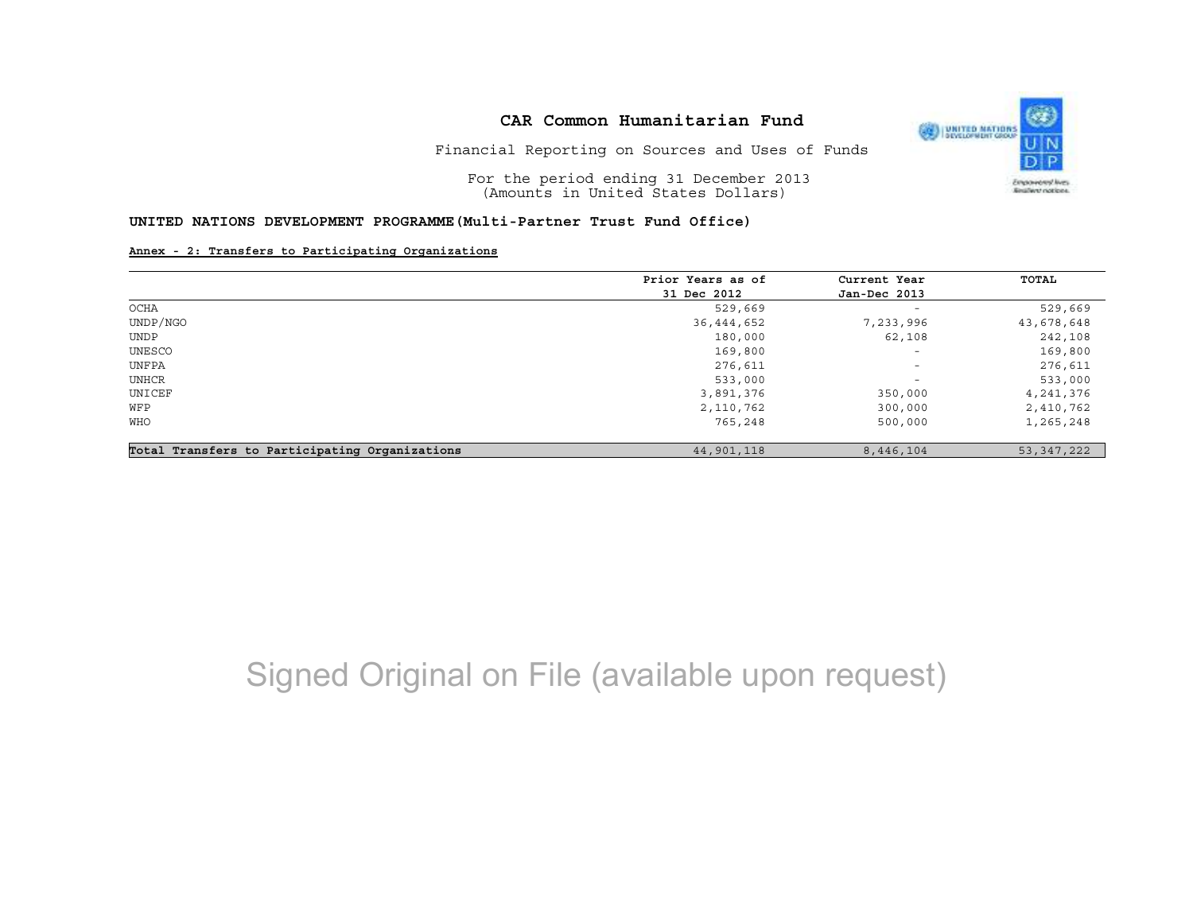

Financial Reporting on Sources and Uses of Funds

For the period ending 31 December 2013(Amounts in United States Dollars)

## **UNITED NATIONS DEVELOPMENT PROGRAMME(Multi-Partner Trust Fund Office)**

### **Annex - 2: Transfers to Participating Organizations**

|                                                | Prior Years as of | Current Year             | TOTAL      |
|------------------------------------------------|-------------------|--------------------------|------------|
|                                                | 31 Dec 2012       | Jan-Dec 2013             |            |
| OCHA                                           | 529,669           | $\overline{\phantom{0}}$ | 529,669    |
| UNDP/NGO                                       | 36, 444, 652      | 7,233,996                | 43,678,648 |
| UNDP                                           | 180,000           | 62,108                   | 242,108    |
| UNESCO                                         | 169,800           | $\overline{\phantom{a}}$ | 169,800    |
| UNFPA                                          | 276,611           | $\overline{\phantom{a}}$ | 276,611    |
| UNHCR                                          | 533,000           | $\overline{\phantom{a}}$ | 533,000    |
| UNICEF                                         | 3,891,376         | 350,000                  | 4,241,376  |
| WFP                                            | 2,110,762         | 300,000                  | 2,410,762  |
| <b>WHO</b>                                     | 765,248           | 500,000                  | 1,265,248  |
| Total Transfers to Participating Organizations | 44,901,118        | 8,446,104                | 53,347,222 |

# Signed Original on File (available upon request)